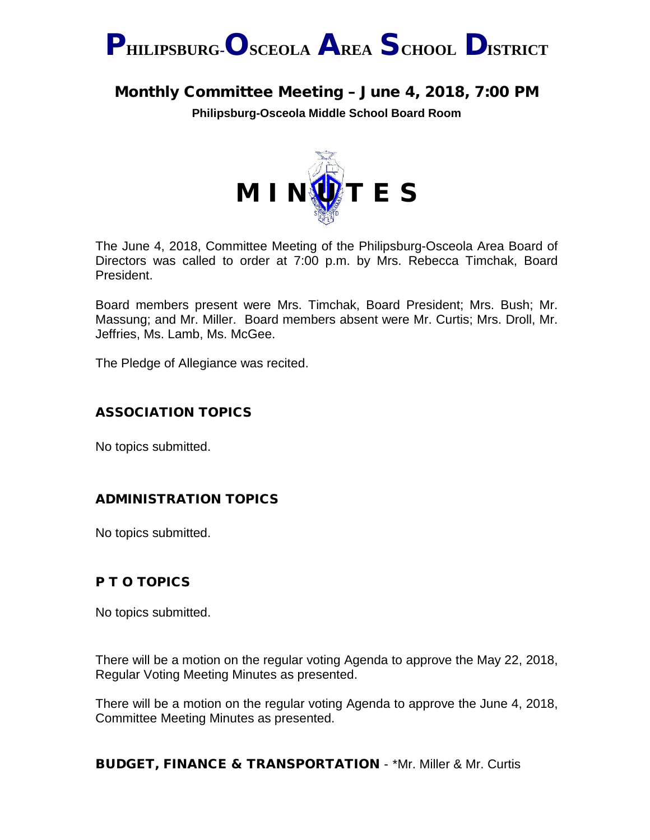

# Monthly Committee Meeting – June 4, 2018, 7:00 PM

**Philipsburg-Osceola Middle School Board Room**



The June 4, 2018, Committee Meeting of the Philipsburg-Osceola Area Board of Directors was called to order at 7:00 p.m. by Mrs. Rebecca Timchak, Board President.

Board members present were Mrs. Timchak, Board President; Mrs. Bush; Mr. Massung; and Mr. Miller. Board members absent were Mr. Curtis; Mrs. Droll, Mr. Jeffries, Ms. Lamb, Ms. McGee.

The Pledge of Allegiance was recited.

### ASSOCIATION TOPICS

No topics submitted.

### ADMINISTRATION TOPICS

No topics submitted.

### P T O TOPICS

No topics submitted.

There will be a motion on the regular voting Agenda to approve the May 22, 2018, Regular Voting Meeting Minutes as presented.

There will be a motion on the regular voting Agenda to approve the June 4, 2018, Committee Meeting Minutes as presented.

BUDGET, FINANCE & TRANSPORTATION - \*Mr. Miller & Mr. Curtis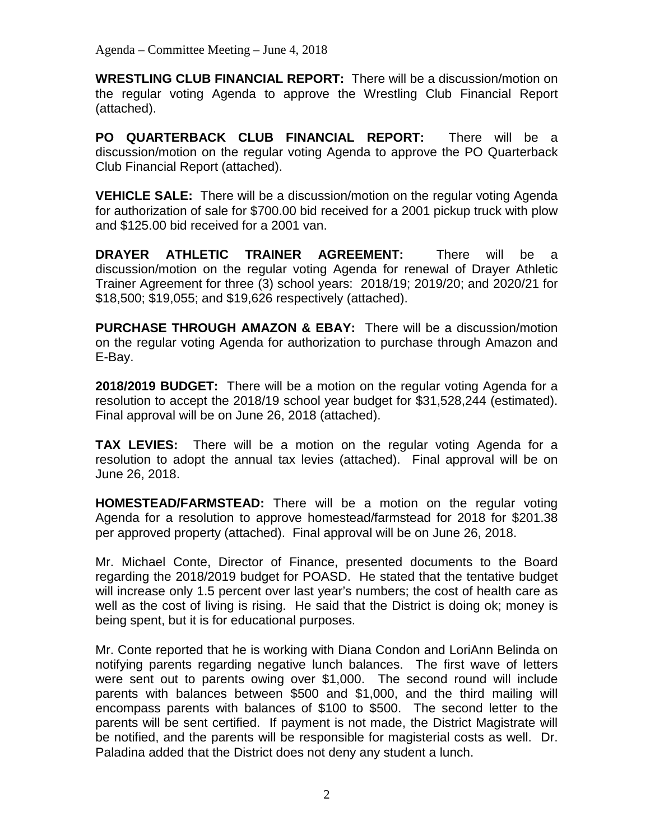**WRESTLING CLUB FINANCIAL REPORT:** There will be a discussion/motion on the regular voting Agenda to approve the Wrestling Club Financial Report (attached).

**PO QUARTERBACK CLUB FINANCIAL REPORT:** There will be a discussion/motion on the regular voting Agenda to approve the PO Quarterback Club Financial Report (attached).

**VEHICLE SALE:** There will be a discussion/motion on the regular voting Agenda for authorization of sale for \$700.00 bid received for a 2001 pickup truck with plow and \$125.00 bid received for a 2001 van.

**DRAYER ATHLETIC TRAINER AGREEMENT:** There will be a discussion/motion on the regular voting Agenda for renewal of Drayer Athletic Trainer Agreement for three (3) school years: 2018/19; 2019/20; and 2020/21 for \$18,500; \$19,055; and \$19,626 respectively (attached).

**PURCHASE THROUGH AMAZON & EBAY:** There will be a discussion/motion on the regular voting Agenda for authorization to purchase through Amazon and E-Bay.

**2018/2019 BUDGET:** There will be a motion on the regular voting Agenda for a resolution to accept the 2018/19 school year budget for \$31,528,244 (estimated). Final approval will be on June 26, 2018 (attached).

**TAX LEVIES:** There will be a motion on the regular voting Agenda for a resolution to adopt the annual tax levies (attached). Final approval will be on June 26, 2018.

**HOMESTEAD/FARMSTEAD:** There will be a motion on the regular voting Agenda for a resolution to approve homestead/farmstead for 2018 for \$201.38 per approved property (attached). Final approval will be on June 26, 2018.

Mr. Michael Conte, Director of Finance, presented documents to the Board regarding the 2018/2019 budget for POASD. He stated that the tentative budget will increase only 1.5 percent over last year's numbers; the cost of health care as well as the cost of living is rising. He said that the District is doing ok; money is being spent, but it is for educational purposes.

Mr. Conte reported that he is working with Diana Condon and LoriAnn Belinda on notifying parents regarding negative lunch balances. The first wave of letters were sent out to parents owing over \$1,000. The second round will include parents with balances between \$500 and \$1,000, and the third mailing will encompass parents with balances of \$100 to \$500. The second letter to the parents will be sent certified. If payment is not made, the District Magistrate will be notified, and the parents will be responsible for magisterial costs as well. Dr. Paladina added that the District does not deny any student a lunch.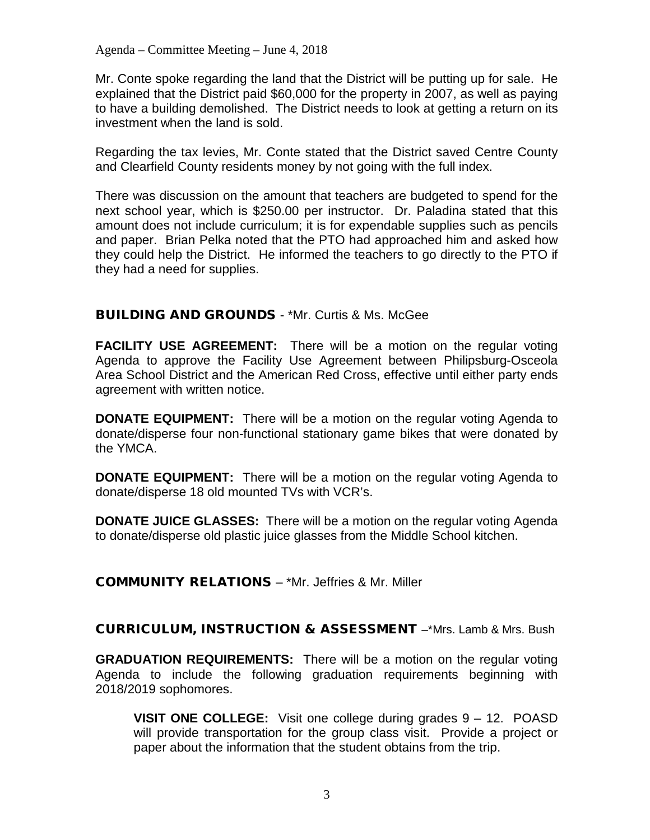Mr. Conte spoke regarding the land that the District will be putting up for sale. He explained that the District paid \$60,000 for the property in 2007, as well as paying to have a building demolished. The District needs to look at getting a return on its investment when the land is sold.

Regarding the tax levies, Mr. Conte stated that the District saved Centre County and Clearfield County residents money by not going with the full index.

There was discussion on the amount that teachers are budgeted to spend for the next school year, which is \$250.00 per instructor. Dr. Paladina stated that this amount does not include curriculum; it is for expendable supplies such as pencils and paper. Brian Pelka noted that the PTO had approached him and asked how they could help the District. He informed the teachers to go directly to the PTO if they had a need for supplies.

### BUILDING AND GROUNDS - \*Mr. Curtis & Ms. McGee

**FACILITY USE AGREEMENT:** There will be a motion on the regular voting Agenda to approve the Facility Use Agreement between Philipsburg-Osceola Area School District and the American Red Cross, effective until either party ends agreement with written notice.

**DONATE EQUIPMENT:** There will be a motion on the regular voting Agenda to donate/disperse four non-functional stationary game bikes that were donated by the YMCA.

**DONATE EQUIPMENT:** There will be a motion on the regular voting Agenda to donate/disperse 18 old mounted TVs with VCR's.

**DONATE JUICE GLASSES:** There will be a motion on the regular voting Agenda to donate/disperse old plastic juice glasses from the Middle School kitchen.

### COMMUNITY RELATIONS – \*Mr. Jeffries & Mr. Miller

CURRICULUM, INSTRUCTION & ASSESSMENT –\*Mrs. Lamb & Mrs. Bush

**GRADUATION REQUIREMENTS:** There will be a motion on the regular voting Agenda to include the following graduation requirements beginning with 2018/2019 sophomores.

**VISIT ONE COLLEGE:** Visit one college during grades 9 – 12. POASD will provide transportation for the group class visit. Provide a project or paper about the information that the student obtains from the trip.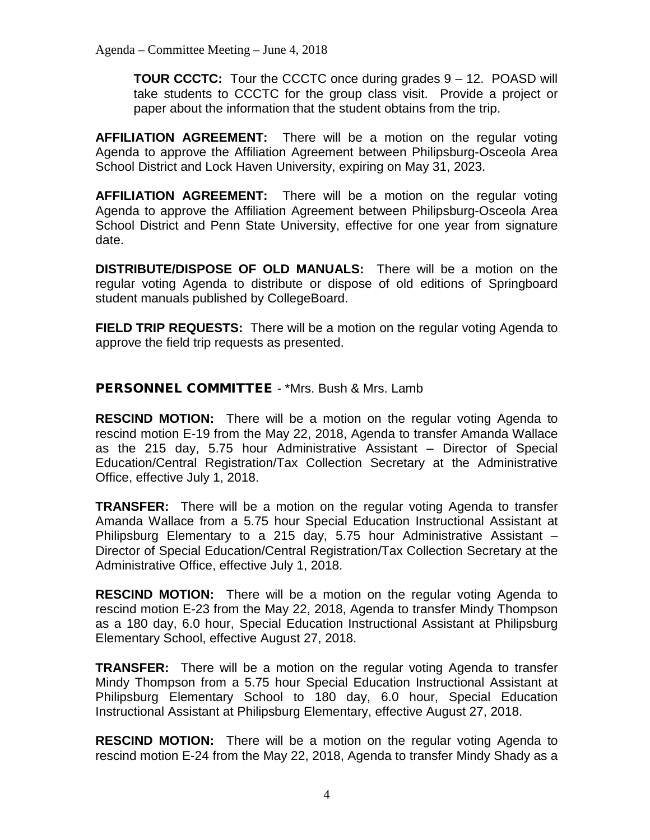**TOUR CCCTC:** Tour the CCCTC once during grades 9 – 12. POASD will take students to CCCTC for the group class visit. Provide a project or paper about the information that the student obtains from the trip.

**AFFILIATION AGREEMENT:** There will be a motion on the regular voting Agenda to approve the Affiliation Agreement between Philipsburg-Osceola Area School District and Lock Haven University, expiring on May 31, 2023.

**AFFILIATION AGREEMENT:** There will be a motion on the regular voting Agenda to approve the Affiliation Agreement between Philipsburg-Osceola Area School District and Penn State University, effective for one year from signature date.

**DISTRIBUTE/DISPOSE OF OLD MANUALS:** There will be a motion on the regular voting Agenda to distribute or dispose of old editions of Springboard student manuals published by CollegeBoard.

**FIELD TRIP REQUESTS:** There will be a motion on the regular voting Agenda to approve the field trip requests as presented.

PERSONNEL COMMITTEE - \*Mrs. Bush & Mrs. Lamb

**RESCIND MOTION:** There will be a motion on the regular voting Agenda to rescind motion E-19 from the May 22, 2018, Agenda to transfer Amanda Wallace as the 215 day, 5.75 hour Administrative Assistant – Director of Special Education/Central Registration/Tax Collection Secretary at the Administrative Office, effective July 1, 2018.

**TRANSFER:** There will be a motion on the regular voting Agenda to transfer Amanda Wallace from a 5.75 hour Special Education Instructional Assistant at Philipsburg Elementary to a 215 day, 5.75 hour Administrative Assistant – Director of Special Education/Central Registration/Tax Collection Secretary at the Administrative Office, effective July 1, 2018.

**RESCIND MOTION:** There will be a motion on the regular voting Agenda to rescind motion E-23 from the May 22, 2018, Agenda to transfer Mindy Thompson as a 180 day, 6.0 hour, Special Education Instructional Assistant at Philipsburg Elementary School, effective August 27, 2018.

**TRANSFER:** There will be a motion on the regular voting Agenda to transfer Mindy Thompson from a 5.75 hour Special Education Instructional Assistant at Philipsburg Elementary School to 180 day, 6.0 hour, Special Education Instructional Assistant at Philipsburg Elementary, effective August 27, 2018.

**RESCIND MOTION:** There will be a motion on the regular voting Agenda to rescind motion E-24 from the May 22, 2018, Agenda to transfer Mindy Shady as a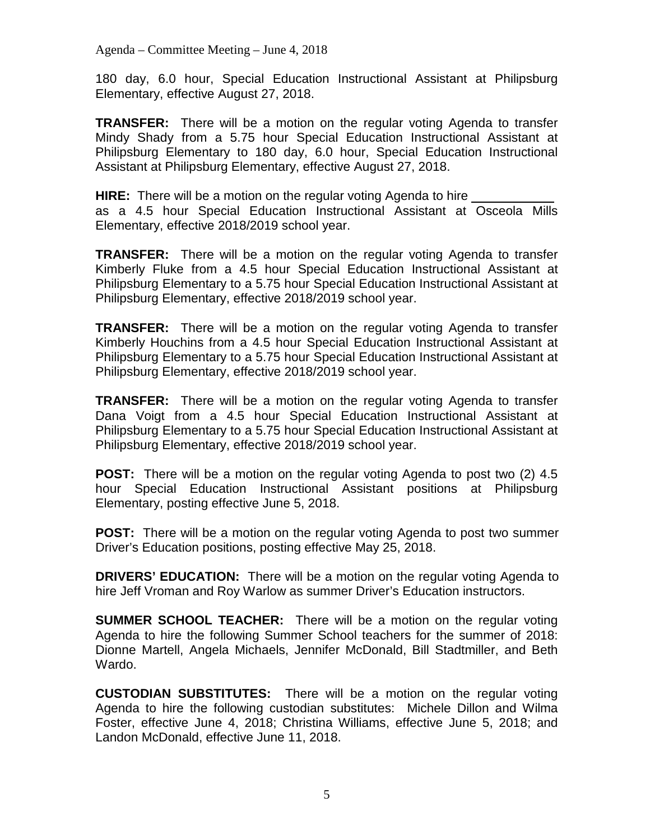180 day, 6.0 hour, Special Education Instructional Assistant at Philipsburg Elementary, effective August 27, 2018.

**TRANSFER:** There will be a motion on the regular voting Agenda to transfer Mindy Shady from a 5.75 hour Special Education Instructional Assistant at Philipsburg Elementary to 180 day, 6.0 hour, Special Education Instructional Assistant at Philipsburg Elementary, effective August 27, 2018.

**HIRE:** There will be a motion on the regular voting Agenda to hire as a 4.5 hour Special Education Instructional Assistant at Osceola Mills Elementary, effective 2018/2019 school year.

**TRANSFER:** There will be a motion on the regular voting Agenda to transfer Kimberly Fluke from a 4.5 hour Special Education Instructional Assistant at Philipsburg Elementary to a 5.75 hour Special Education Instructional Assistant at Philipsburg Elementary, effective 2018/2019 school year.

**TRANSFER:** There will be a motion on the regular voting Agenda to transfer Kimberly Houchins from a 4.5 hour Special Education Instructional Assistant at Philipsburg Elementary to a 5.75 hour Special Education Instructional Assistant at Philipsburg Elementary, effective 2018/2019 school year.

**TRANSFER:** There will be a motion on the regular voting Agenda to transfer Dana Voigt from a 4.5 hour Special Education Instructional Assistant at Philipsburg Elementary to a 5.75 hour Special Education Instructional Assistant at Philipsburg Elementary, effective 2018/2019 school year.

**POST:** There will be a motion on the regular voting Agenda to post two (2) 4.5 hour Special Education Instructional Assistant positions at Philipsburg Elementary, posting effective June 5, 2018.

**POST:** There will be a motion on the regular voting Agenda to post two summer Driver's Education positions, posting effective May 25, 2018.

**DRIVERS' EDUCATION:** There will be a motion on the regular voting Agenda to hire Jeff Vroman and Roy Warlow as summer Driver's Education instructors.

**SUMMER SCHOOL TEACHER:** There will be a motion on the regular voting Agenda to hire the following Summer School teachers for the summer of 2018: Dionne Martell, Angela Michaels, Jennifer McDonald, Bill Stadtmiller, and Beth Wardo.

**CUSTODIAN SUBSTITUTES:** There will be a motion on the regular voting Agenda to hire the following custodian substitutes: Michele Dillon and Wilma Foster, effective June 4, 2018; Christina Williams, effective June 5, 2018; and Landon McDonald, effective June 11, 2018.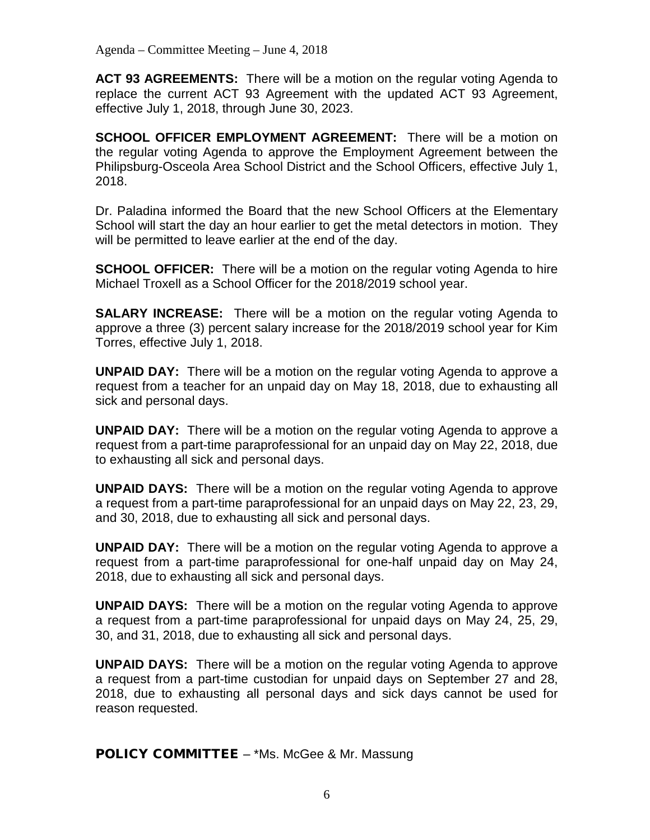**ACT 93 AGREEMENTS:** There will be a motion on the regular voting Agenda to replace the current ACT 93 Agreement with the updated ACT 93 Agreement, effective July 1, 2018, through June 30, 2023.

**SCHOOL OFFICER EMPLOYMENT AGREEMENT:** There will be a motion on the regular voting Agenda to approve the Employment Agreement between the Philipsburg-Osceola Area School District and the School Officers, effective July 1, 2018.

Dr. Paladina informed the Board that the new School Officers at the Elementary School will start the day an hour earlier to get the metal detectors in motion. They will be permitted to leave earlier at the end of the day.

**SCHOOL OFFICER:** There will be a motion on the regular voting Agenda to hire Michael Troxell as a School Officer for the 2018/2019 school year.

**SALARY INCREASE:** There will be a motion on the regular voting Agenda to approve a three (3) percent salary increase for the 2018/2019 school year for Kim Torres, effective July 1, 2018.

**UNPAID DAY:** There will be a motion on the regular voting Agenda to approve a request from a teacher for an unpaid day on May 18, 2018, due to exhausting all sick and personal days.

**UNPAID DAY:** There will be a motion on the regular voting Agenda to approve a request from a part-time paraprofessional for an unpaid day on May 22, 2018, due to exhausting all sick and personal days.

**UNPAID DAYS:** There will be a motion on the regular voting Agenda to approve a request from a part-time paraprofessional for an unpaid days on May 22, 23, 29, and 30, 2018, due to exhausting all sick and personal days.

**UNPAID DAY:** There will be a motion on the regular voting Agenda to approve a request from a part-time paraprofessional for one-half unpaid day on May 24, 2018, due to exhausting all sick and personal days.

**UNPAID DAYS:** There will be a motion on the regular voting Agenda to approve a request from a part-time paraprofessional for unpaid days on May 24, 25, 29, 30, and 31, 2018, due to exhausting all sick and personal days.

**UNPAID DAYS:** There will be a motion on the regular voting Agenda to approve a request from a part-time custodian for unpaid days on September 27 and 28, 2018, due to exhausting all personal days and sick days cannot be used for reason requested.

**POLICY COMMITTEE – \*Ms. McGee & Mr. Massung**